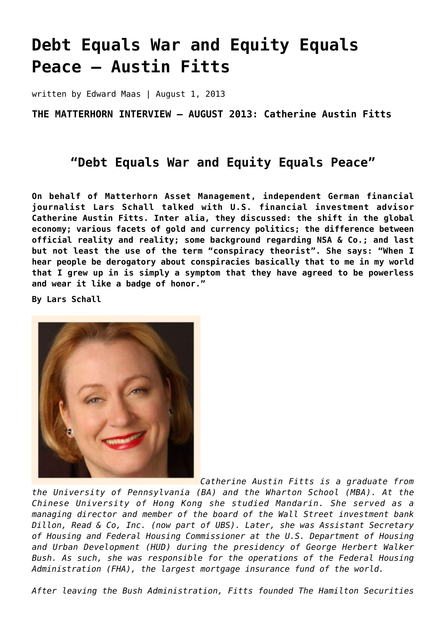# **[Debt Equals War and Equity Equals](https://goldswitzerland.com/debt-equals-war-and-equity-equals-peace-austin-fitts/) [Peace – Austin Fitts](https://goldswitzerland.com/debt-equals-war-and-equity-equals-peace-austin-fitts/)**

written by Edward Maas | August 1, 2013

**THE MATTERHORN INTERVIEW – AUGUST 2013: Catherine Austin Fitts**

## **"Debt Equals War and Equity Equals Peace"**

**On behalf of Matterhorn Asset Management, independent German financial journalist Lars Schall talked with U.S. financial investment advisor Catherine Austin Fitts. Inter alia, they discussed: the shift in the global economy; various facets of gold and currency politics; the difference between official reality and reality; some background regarding NSA & Co.; and last but not least the use of the term "conspiracy theorist". She says: "When I hear people be derogatory about conspiracies basically that to me in my world that I grew up in is simply a symptom that they have agreed to be powerless and wear it like a badge of honor."**

**By Lars Schall**



*Catherine Austin Fitts is a graduate from*

*the University of Pennsylvania (BA) and the Wharton School (MBA). At the Chinese University of Hong Kong she studied Mandarin. She served as a managing director and member of the board of the Wall Street investment bank Dillon, Read & Co, Inc. (now part of UBS). Later, she was Assistant Secretary of Housing and Federal Housing Commissioner at the U.S. Department of Housing and Urban Development (HUD) during the presidency of George Herbert Walker Bush. As such, she was responsible for the operations of the Federal Housing Administration (FHA), the largest mortgage insurance fund of the world.*

*After leaving the Bush Administration, Fitts founded The Hamilton Securities*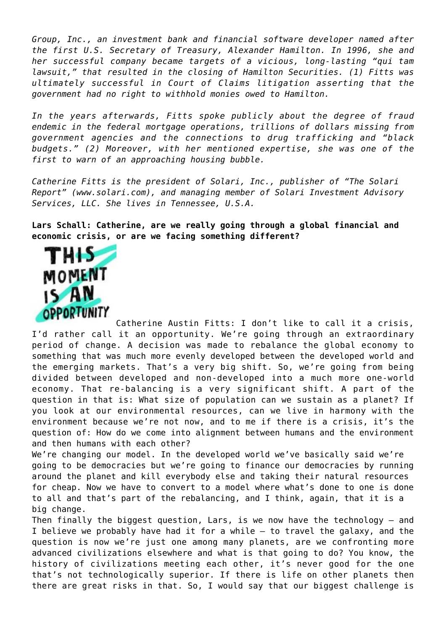*Group, Inc., an investment bank and financial software developer named after the first U.S. Secretary of Treasury, Alexander Hamilton. In 1996, she and her successful company became targets of a vicious, long-lasting "qui tam lawsuit," that resulted in the closing of Hamilton Securities. (1) Fitts was ultimately successful in Court of Claims litigation asserting that the government had no right to withhold monies owed to Hamilton.*

*In the years afterwards, Fitts spoke publicly about the degree of fraud endemic in the federal mortgage operations, trillions of dollars missing from government agencies and the connections to drug trafficking and "black budgets." (2) Moreover, with her mentioned expertise, she was one of the first to warn of an approaching housing bubble.*

*Catherine Fitts is the president of Solari, Inc., publisher of "The Solari Report" (www.solari.com), and managing member of Solari Investment Advisory Services, LLC. She lives in Tennessee, U.S.A.*

**Lars Schall: Catherine, are we really going through a global financial and economic crisis, or are we facing something different?**



Catherine Austin Fitts: I don't like to call it a crisis, I'd rather call it an opportunity. We're going through an extraordinary period of change. A decision was made to rebalance the global economy to something that was much more evenly developed between the developed world and the emerging markets. That's a very big shift. So, we're going from being divided between developed and non-developed into a much more one-world economy. That re-balancing is a very significant shift. A part of the question in that is: What size of population can we sustain as a planet? If you look at our environmental resources, can we live in harmony with the environment because we're not now, and to me if there is a crisis, it's the question of: How do we come into alignment between humans and the environment and then humans with each other?

We're changing our model. In the developed world we've basically said we're going to be democracies but we're going to finance our democracies by running around the planet and kill everybody else and taking their natural resources for cheap. Now we have to convert to a model where what's done to one is done to all and that's part of the rebalancing, and I think, again, that it is a big change.

Then finally the biggest question, Lars, is we now have the technology – and I believe we probably have had it for a while – to travel the galaxy, and the question is now we're just one among many planets, are we confronting more advanced civilizations elsewhere and what is that going to do? You know, the history of civilizations meeting each other, it's never good for the one that's not technologically superior. If there is life on other planets then there are great risks in that. So, I would say that our biggest challenge is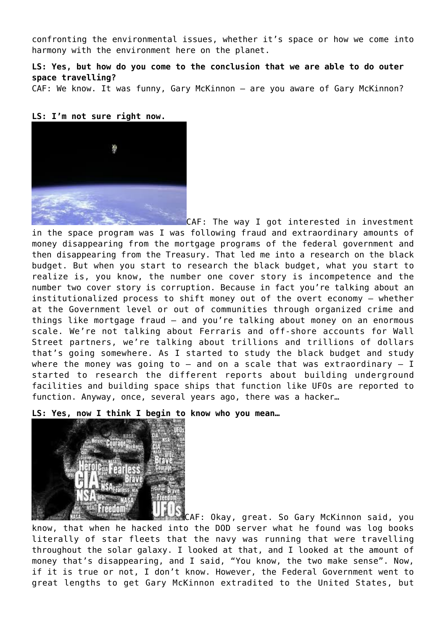confronting the environmental issues, whether it's space or how we come into harmony with the environment here on the planet.

**LS: Yes, but how do you come to the conclusion that we are able to do outer space travelling?**

CAF: We know. It was funny, Gary McKinnon – are you aware of Gary McKinnon?

#### **LS: I'm not sure right now.**



CAF: The way I got interested in investment in the space program was I was following fraud and extraordinary amounts of money disappearing from the mortgage programs of the federal government and then disappearing from the Treasury. That led me into a research on the black budget. But when you start to research the black budget, what you start to realize is, you know, the number one cover story is incompetence and the number two cover story is corruption. Because in fact you're talking about an institutionalized process to shift money out of the overt economy – whether at the Government level or out of communities through organized crime and things like mortgage fraud – and you're talking about money on an enormous scale. We're not talking about Ferraris and off-shore accounts for Wall Street partners, we're talking about trillions and trillions of dollars that's going somewhere. As I started to study the black budget and study where the money was going to  $-$  and on a scale that was extraordinary  $-$  I started to research the different reports about building underground facilities and building space ships that function like UFOs are reported to function. Anyway, once, several years ago, there was a hacker…

**LS: Yes, now I think I begin to know who you mean…**



CAF: Okay, great. So Gary McKinnon said, you know, that when he hacked into the DOD server what he found was log books literally of star fleets that the navy was running that were travelling throughout the solar galaxy. I looked at that, and I looked at the amount of money that's disappearing, and I said, "You know, the two make sense". Now, if it is true or not, I don't know. However, the Federal Government went to great lengths to get Gary McKinnon extradited to the United States, but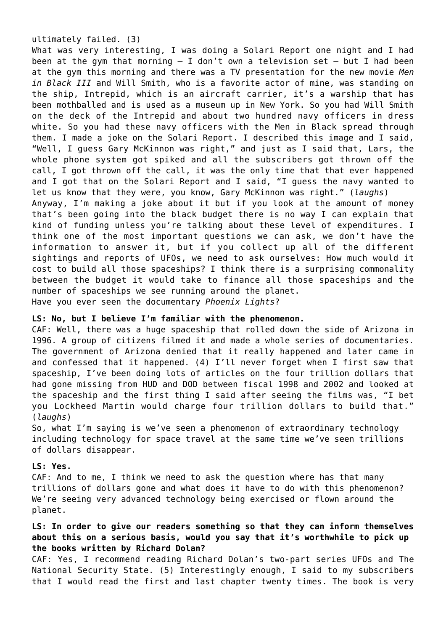#### ultimately failed. (3)

What was very interesting, I was doing a Solari Report one night and I had been at the gym that morning  $-$  I don't own a television set  $-$  but I had been at the gym this morning and there was a TV presentation for the new movie *Men in Black III* and Will Smith, who is a favorite actor of mine, was standing on the ship, Intrepid, which is an aircraft carrier, it's a warship that has been mothballed and is used as a museum up in New York. So you had Will Smith on the deck of the Intrepid and about two hundred navy officers in dress white. So you had these navy officers with the Men in Black spread through them. I made a joke on the Solari Report. I described this image and I said, "Well, I guess Gary McKinnon was right," and just as I said that, Lars, the whole phone system got spiked and all the subscribers got thrown off the call, I got thrown off the call, it was the only time that that ever happened and I got that on the Solari Report and I said, "I guess the navy wanted to let us know that they were, you know, Gary McKinnon was right." (*laughs*) Anyway, I'm making a joke about it but if you look at the amount of money that's been going into the black budget there is no way I can explain that kind of funding unless you're talking about these level of expenditures. I think one of the most important questions we can ask, we don't have the information to answer it, but if you collect up all of the different sightings and reports of UFOs, we need to ask ourselves: How much would it cost to build all those spaceships? I think there is a surprising commonality between the budget it would take to finance all those spaceships and the number of spaceships we see running around the planet. Have you ever seen the documentary *Phoenix Lights*?

#### **LS: No, but I believe I'm familiar with the phenomenon.**

CAF: Well, there was a huge spaceship that rolled down the side of Arizona in 1996. A group of citizens filmed it and made a whole series of documentaries. The government of Arizona denied that it really happened and later came in and confessed that it happened. (4) I'll never forget when I first saw that spaceship, I've been doing lots of articles on the four trillion dollars that had gone missing from HUD and DOD between fiscal 1998 and 2002 and looked at the spaceship and the first thing I said after seeing the films was, "I bet you Lockheed Martin would charge four trillion dollars to build that." (*laughs*)

So, what I'm saying is we've seen a phenomenon of extraordinary technology including technology for space travel at the same time we've seen trillions of dollars disappear.

#### **LS: Yes.**

CAF: And to me, I think we need to ask the question where has that many trillions of dollars gone and what does it have to do with this phenomenon? We're seeing very advanced technology being exercised or flown around the planet.

## **LS: In order to give our readers something so that they can inform themselves about this on a serious basis, would you say that it's worthwhile to pick up the books written by Richard Dolan?**

CAF: Yes, I recommend reading Richard Dolan's two-part series UFOs and The National Security State. (5) Interestingly enough, I said to my subscribers that I would read the first and last chapter twenty times. The book is very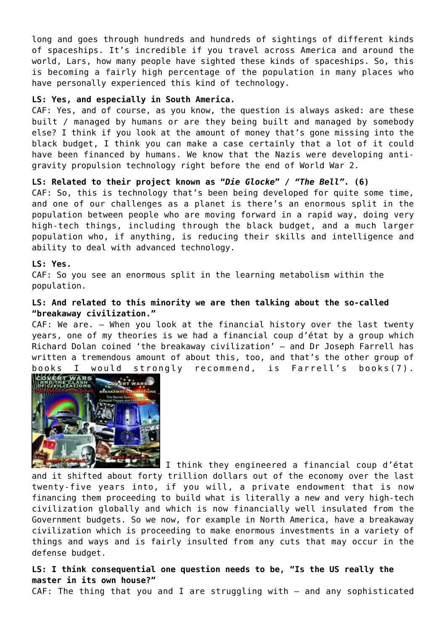long and goes through hundreds and hundreds of sightings of different kinds of spaceships. It's incredible if you travel across America and around the world, Lars, how many people have sighted these kinds of spaceships. So, this is becoming a fairly high percentage of the population in many places who have personally experienced this kind of technology.

#### **LS: Yes, and especially in South America.**

CAF: Yes, and of course, as you know, the question is always asked: are these built / managed by humans or are they being built and managed by somebody else? I think if you look at the amount of money that's gone missing into the black budget, I think you can make a case certainly that a lot of it could have been financed by humans. We know that the Nazis were developing antigravity propulsion technology right before the end of World War 2.

## **LS: Related to their project known as "***Die Glocke***" /** *"The Bell".* **(6)**

CAF: So, this is technology that's been being developed for quite some time, and one of our challenges as a planet is there's an enormous split in the population between people who are moving forward in a rapid way, doing very high-tech things, including through the black budget, and a much larger population who, if anything, is reducing their skills and intelligence and ability to deal with advanced technology.

#### **LS: Yes.**

CAF: So you see an enormous split in the learning metabolism within the population.

## **LS: And related to this minority we are then talking about the so-called "breakaway civilization."**

CAF: We are. – When you look at the financial history over the last twenty years, one of my theories is we had a financial coup d'état by a group which Richard Dolan coined 'the breakaway civilization' – and Dr Joseph Farrell has written a tremendous amount of about this, too, and that's the other group of books I would strongly recommend, is Farrell's books(7).



 $\blacksquare$  I think they engineered a financial coup d'état and it shifted about forty trillion dollars out of the economy over the last twenty-five years into, if you will, a private endowment that is now financing them proceeding to build what is literally a new and very high-tech civilization globally and which is now financially well insulated from the Government budgets. So we now, for example in North America, have a breakaway civilization which is proceeding to make enormous investments in a variety of things and ways and is fairly insulted from any cuts that may occur in the defense budget.

**LS: I think consequential one question needs to be, "Is the US really the master in its own house?"**

CAF: The thing that you and I are struggling with – and any sophisticated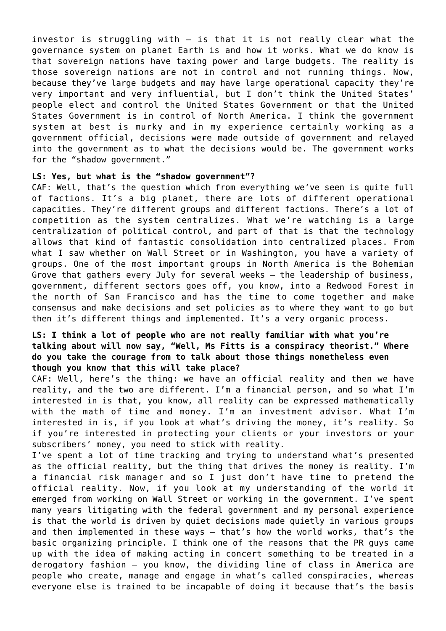investor is struggling with – is that it is not really clear what the governance system on planet Earth is and how it works. What we do know is that sovereign nations have taxing power and large budgets. The reality is those sovereign nations are not in control and not running things. Now, because they've large budgets and may have large operational capacity they're very important and very influential, but I don't think the United States' people elect and control the United States Government or that the United States Government is in control of North America. I think the government system at best is murky and in my experience certainly working as a government official, decisions were made outside of government and relayed into the government as to what the decisions would be. The government works for the "shadow government."

#### **LS: Yes, but what is the "shadow government"?**

CAF: Well, that's the question which from everything we've seen is quite full of factions. It's a big planet, there are lots of different operational capacities. They're different groups and different factions. There's a lot of competition as the system centralizes. What we're watching is a large centralization of political control, and part of that is that the technology allows that kind of fantastic consolidation into centralized places. From what I saw whether on Wall Street or in Washington, you have a variety of groups. One of the most important groups in North America is the Bohemian Grove that gathers every July for several weeks – the leadership of business, government, different sectors goes off, you know, into a Redwood Forest in the north of San Francisco and has the time to come together and make consensus and make decisions and set policies as to where they want to go but then it's different things and implemented. It's a very organic process.

## **LS: I think a lot of people who are not really familiar with what you're talking about will now say, "Well, Ms Fitts is a conspiracy theorist." Where do you take the courage from to talk about those things nonetheless even though you know that this will take place?**

CAF: Well, here's the thing: we have an official reality and then we have reality, and the two are different. I'm a financial person, and so what I'm interested in is that, you know, all reality can be expressed mathematically with the math of time and money. I'm an investment advisor. What I'm interested in is, if you look at what's driving the money, it's reality. So if you're interested in protecting your clients or your investors or your subscribers' money, you need to stick with reality.

I've spent a lot of time tracking and trying to understand what's presented as the official reality, but the thing that drives the money is reality. I'm a financial risk manager and so I just don't have time to pretend the official reality. Now, if you look at my understanding of the world it emerged from working on Wall Street or working in the government. I've spent many years litigating with the federal government and my personal experience is that the world is driven by quiet decisions made quietly in various groups and then implemented in these ways – that's how the world works, that's the basic organizing principle. I think one of the reasons that the PR guys came up with the idea of making acting in concert something to be treated in a derogatory fashion – you know, the dividing line of class in America are people who create, manage and engage in what's called conspiracies, whereas everyone else is trained to be incapable of doing it because that's the basis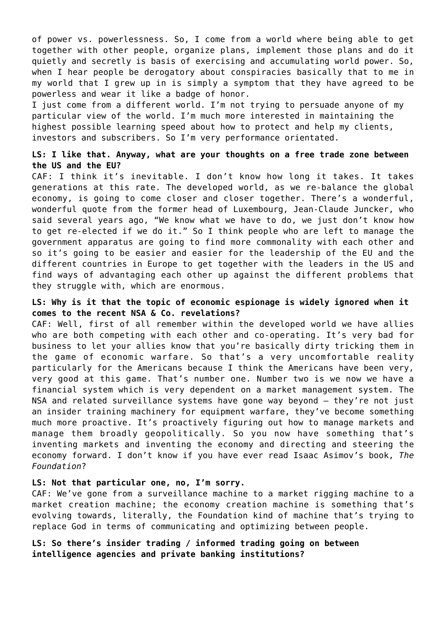of power vs. powerlessness. So, I come from a world where being able to get together with other people, organize plans, implement those plans and do it quietly and secretly is basis of exercising and accumulating world power. So, when I hear people be derogatory about conspiracies basically that to me in my world that I grew up in is simply a symptom that they have agreed to be powerless and wear it like a badge of honor.

I just come from a different world. I'm not trying to persuade anyone of my particular view of the world. I'm much more interested in maintaining the highest possible learning speed about how to protect and help my clients, investors and subscribers. So I'm very performance orientated.

## **LS: I like that. Anyway, what are your thoughts on a free trade zone between the US and the EU?**

CAF: I think it's inevitable. I don't know how long it takes. It takes generations at this rate. The developed world, as we re-balance the global economy, is going to come closer and closer together. There's a wonderful, wonderful quote from the former head of Luxembourg, Jean-Claude Juncker, who said several years ago, "We know what we have to do, we just don't know how to get re-elected if we do it." So I think people who are left to manage the government apparatus are going to find more commonality with each other and so it's going to be easier and easier for the leadership of the EU and the different countries in Europe to get together with the leaders in the US and find ways of advantaging each other up against the different problems that they struggle with, which are enormous.

## **LS: Why is it that the topic of economic espionage is widely ignored when it comes to the recent NSA & Co. revelations?**

CAF: Well, first of all remember within the developed world we have allies who are both competing with each other and co-operating. It's very bad for business to let your allies know that you're basically dirty tricking them in the game of economic warfare. So that's a very uncomfortable reality particularly for the Americans because I think the Americans have been very, very good at this game. That's number one. Number two is we now we have a financial system which is very dependent on a market management system. The NSA and related surveillance systems have gone way beyond – they're not just an insider training machinery for equipment warfare, they've become something much more proactive. It's proactively figuring out how to manage markets and manage them broadly geopolitically. So you now have something that's inventing markets and inventing the economy and directing and steering the economy forward. I don't know if you have ever read Isaac Asimov's book, *The Foundation*?

## **LS: Not that particular one, no, I'm sorry.**

CAF: We've gone from a surveillance machine to a market rigging machine to a market creation machine; the economy creation machine is something that's evolving towards, literally, the Foundation kind of machine that's trying to replace God in terms of communicating and optimizing between people.

**LS: So there's insider trading / informed trading going on between intelligence agencies and private banking institutions?**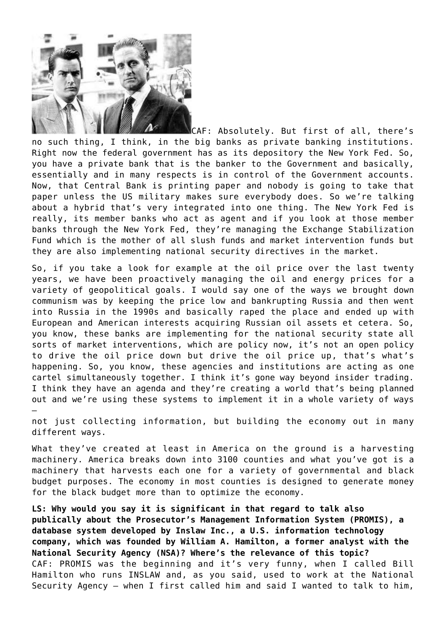

CAF: Absolutely. But first of all, there's no such thing, I think, in the big banks as private banking institutions. Right now the federal government has as its depository the New York Fed. So, you have a private bank that is the banker to the Government and basically, essentially and in many respects is in control of the Government accounts. Now, that Central Bank is printing paper and nobody is going to take that paper unless the US military makes sure everybody does. So we're talking about a hybrid that's very integrated into one thing. The New York Fed is really, its member banks who act as agent and if you look at those member banks through the New York Fed, they're managing the Exchange Stabilization Fund which is the mother of all slush funds and market intervention funds but they are also implementing national security directives in the market.

So, if you take a look for example at the oil price over the last twenty years, we have been proactively managing the oil and energy prices for a variety of geopolitical goals. I would say one of the ways we brought down communism was by keeping the price low and bankrupting Russia and then went into Russia in the 1990s and basically raped the place and ended up with European and American interests acquiring Russian oil assets et cetera. So, you know, these banks are implementing for the national security state all sorts of market interventions, which are policy now, it's not an open policy to drive the oil price down but drive the oil price up, that's what's happening. So, you know, these agencies and institutions are acting as one cartel simultaneously together. I think it's gone way beyond insider trading. I think they have an agenda and they're creating a world that's being planned out and we're using these systems to implement it in a whole variety of ways –

not just collecting information, but building the economy out in many different ways.

What they've created at least in America on the ground is a harvesting machinery. America breaks down into 3100 counties and what you've got is a machinery that harvests each one for a variety of governmental and black budget purposes. The economy in most counties is designed to generate money for the black budget more than to optimize the economy.

**LS: Why would you say it is significant in that regard to talk also publically about the Prosecutor's Management Information System (PROMIS), a database system developed by Inslaw Inc., a U.S. information technology company, which was founded by William A. Hamilton, a former analyst with the National Security Agency (NSA)? Where's the relevance of this topic?** CAF: PROMIS was the beginning and it's very funny, when I called Bill Hamilton who runs INSLAW and, as you said, used to work at the National Security Agency – when I first called him and said I wanted to talk to him,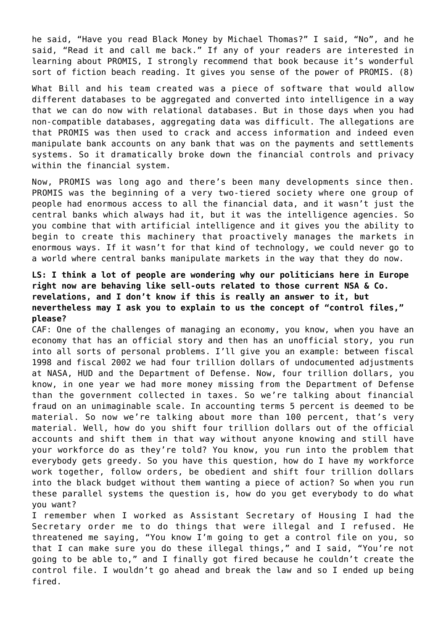he said, "Have you read Black Money by Michael Thomas?" I said, "No", and he said, "Read it and call me back." If any of your readers are interested in learning about PROMIS, I strongly recommend that book because it's wonderful sort of fiction beach reading. It gives you sense of the power of PROMIS. (8)

What Bill and his team created was a piece of software that would allow different databases to be aggregated and converted into intelligence in a way that we can do now with relational databases. But in those days when you had non-compatible databases, aggregating data was difficult. The allegations are that PROMIS was then used to crack and access information and indeed even manipulate bank accounts on any bank that was on the payments and settlements systems. So it dramatically broke down the financial controls and privacy within the financial system.

Now, PROMIS was long ago and there's been many developments since then. PROMIS was the beginning of a very two-tiered society where one group of people had enormous access to all the financial data, and it wasn't just the central banks which always had it, but it was the intelligence agencies. So you combine that with artificial intelligence and it gives you the ability to begin to create this machinery that proactively manages the markets in enormous ways. If it wasn't for that kind of technology, we could never go to a world where central banks manipulate markets in the way that they do now.

## **LS: I think a lot of people are wondering why our politicians here in Europe right now are behaving like sell-outs related to those current NSA & Co. revelations, and I don't know if this is really an answer to it, but nevertheless may I ask you to explain to us the concept of "control files," please?**

CAF: One of the challenges of managing an economy, you know, when you have an economy that has an official story and then has an unofficial story, you run into all sorts of personal problems. I'll give you an example: between fiscal 1998 and fiscal 2002 we had four trillion dollars of undocumented adjustments at NASA, HUD and the Department of Defense. Now, four trillion dollars, you know, in one year we had more money missing from the Department of Defense than the government collected in taxes. So we're talking about financial fraud on an unimaginable scale. In accounting terms 5 percent is deemed to be material. So now we're talking about more than 100 percent, that's very material. Well, how do you shift four trillion dollars out of the official accounts and shift them in that way without anyone knowing and still have your workforce do as they're told? You know, you run into the problem that everybody gets greedy. So you have this question, how do I have my workforce work together, follow orders, be obedient and shift four trillion dollars into the black budget without them wanting a piece of action? So when you run these parallel systems the question is, how do you get everybody to do what you want?

I remember when I worked as Assistant Secretary of Housing I had the Secretary order me to do things that were illegal and I refused. He threatened me saying, "You know I'm going to get a control file on you, so that I can make sure you do these illegal things," and I said, "You're not going to be able to," and I finally got fired because he couldn't create the control file. I wouldn't go ahead and break the law and so I ended up being fired.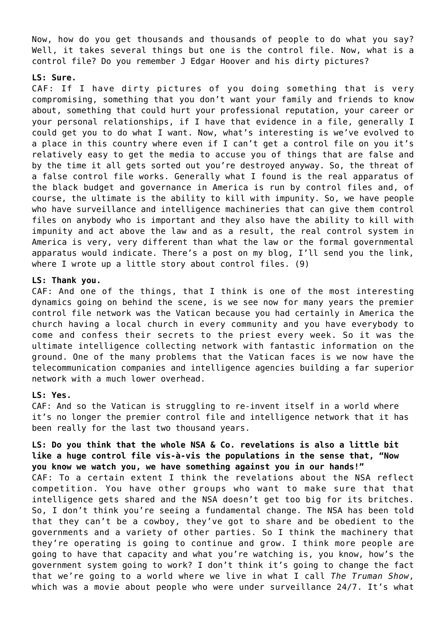Now, how do you get thousands and thousands of people to do what you say? Well, it takes several things but one is the control file. Now, what is a control file? Do you remember J Edgar Hoover and his dirty pictures?

#### **LS: Sure.**

CAF: If I have dirty pictures of you doing something that is very compromising, something that you don't want your family and friends to know about, something that could hurt your professional reputation, your career or your personal relationships, if I have that evidence in a file, generally I could get you to do what I want. Now, what's interesting is we've evolved to a place in this country where even if I can't get a control file on you it's relatively easy to get the media to accuse you of things that are false and by the time it all gets sorted out you're destroyed anyway. So, the threat of a false control file works. Generally what I found is the real apparatus of the black budget and governance in America is run by control files and, of course, the ultimate is the ability to kill with impunity. So, we have people who have surveillance and intelligence machineries that can give them control files on anybody who is important and they also have the ability to kill with impunity and act above the law and as a result, the real control system in America is very, very different than what the law or the formal governmental apparatus would indicate. There's a post on my blog, I'll send you the link, where I wrote up a little story about control files. (9)

#### **LS: Thank you.**

CAF: And one of the things, that I think is one of the most interesting dynamics going on behind the scene, is we see now for many years the premier control file network was the Vatican because you had certainly in America the church having a local church in every community and you have everybody to come and confess their secrets to the priest every week. So it was the ultimate intelligence collecting network with fantastic information on the ground. One of the many problems that the Vatican faces is we now have the telecommunication companies and intelligence agencies building a far superior network with a much lower overhead.

#### **LS: Yes.**

CAF: And so the Vatican is struggling to re-invent itself in a world where it's no longer the premier control file and intelligence network that it has been really for the last two thousand years.

## **LS: Do you think that the whole NSA & Co. revelations is also a little bit like a huge control file vis-à-vis the populations in the sense that, "Now you know we watch you, we have something against you in our hands!"**

CAF: To a certain extent I think the revelations about the NSA reflect competition. You have other groups who want to make sure that that intelligence gets shared and the NSA doesn't get too big for its britches. So, I don't think you're seeing a fundamental change. The NSA has been told that they can't be a cowboy, they've got to share and be obedient to the governments and a variety of other parties. So I think the machinery that they're operating is going to continue and grow. I think more people are going to have that capacity and what you're watching is, you know, how's the government system going to work? I don't think it's going to change the fact that we're going to a world where we live in what I call *The Truman Show*, which was a movie about people who were under surveillance 24/7. It's what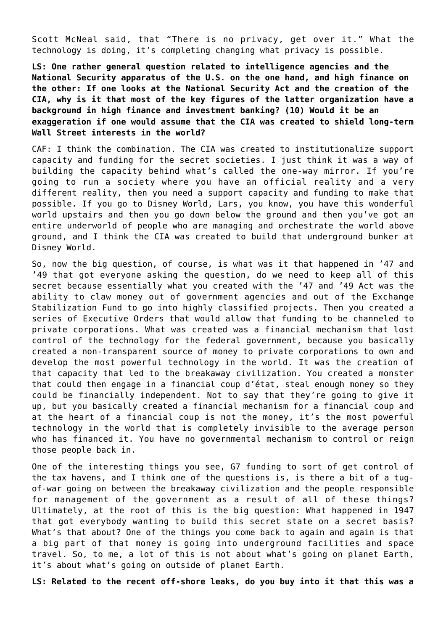Scott McNeal said, that "There is no privacy, get over it." What the technology is doing, it's completing changing what privacy is possible.

**LS: One rather general question related to intelligence agencies and the National Security apparatus of the U.S. on the one hand, and high finance on the other: If one looks at the National Security Act and the creation of the CIA, why is it that most of the key figures of the latter organization have a background in high finance and investment banking? (10) Would it be an exaggeration if one would assume that the CIA was created to shield long-term Wall Street interests in the world?**

CAF: I think the combination. The CIA was created to institutionalize support capacity and funding for the secret societies. I just think it was a way of building the capacity behind what's called the one-way mirror. If you're going to run a society where you have an official reality and a very different reality, then you need a support capacity and funding to make that possible. If you go to Disney World, Lars, you know, you have this wonderful world upstairs and then you go down below the ground and then you've got an entire underworld of people who are managing and orchestrate the world above ground, and I think the CIA was created to build that underground bunker at Disney World.

So, now the big question, of course, is what was it that happened in '47 and '49 that got everyone asking the question, do we need to keep all of this secret because essentially what you created with the '47 and '49 Act was the ability to claw money out of government agencies and out of the Exchange Stabilization Fund to go into highly classified projects. Then you created a series of Executive Orders that would allow that funding to be channeled to private corporations. What was created was a financial mechanism that lost control of the technology for the federal government, because you basically created a non-transparent source of money to private corporations to own and develop the most powerful technology in the world. It was the creation of that capacity that led to the breakaway civilization. You created a monster that could then engage in a financial coup d'état, steal enough money so they could be financially independent. Not to say that they're going to give it up, but you basically created a financial mechanism for a financial coup and at the heart of a financial coup is not the money, it's the most powerful technology in the world that is completely invisible to the average person who has financed it. You have no governmental mechanism to control or reign those people back in.

One of the interesting things you see, G7 funding to sort of get control of the tax havens, and I think one of the questions is, is there a bit of a tugof-war going on between the breakaway civilization and the people responsible for management of the government as a result of all of these things? Ultimately, at the root of this is the big question: What happened in 1947 that got everybody wanting to build this secret state on a secret basis? What's that about? One of the things you come back to again and again is that a big part of that money is going into underground facilities and space travel. So, to me, a lot of this is not about what's going on planet Earth, it's about what's going on outside of planet Earth.

**LS: Related to the recent off-shore leaks, do you buy into it that this was a**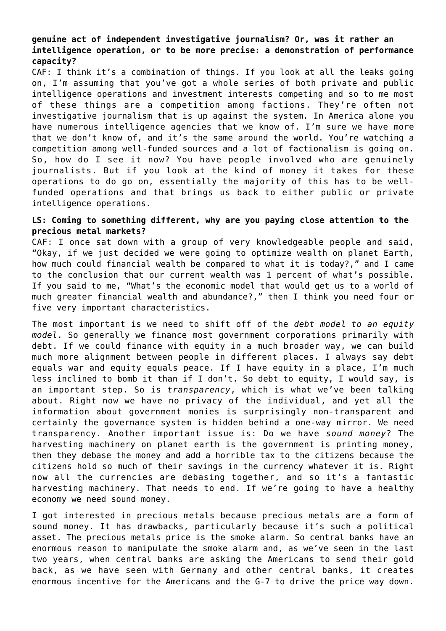## **genuine act of independent investigative journalism? Or, was it rather an intelligence operation, or to be more precise: a demonstration of performance capacity?**

CAF: I think it's a combination of things. If you look at all the leaks going on, I'm assuming that you've got a whole series of both private and public intelligence operations and investment interests competing and so to me most of these things are a competition among factions. They're often not investigative journalism that is up against the system. In America alone you have numerous intelligence agencies that we know of. I'm sure we have more that we don't know of, and it's the same around the world. You're watching a competition among well-funded sources and a lot of factionalism is going on. So, how do I see it now? You have people involved who are genuinely journalists. But if you look at the kind of money it takes for these operations to do go on, essentially the majority of this has to be wellfunded operations and that brings us back to either public or private intelligence operations.

## **LS: Coming to something different, why are you paying close attention to the precious metal markets?**

CAF: I once sat down with a group of very knowledgeable people and said, "Okay, if we just decided we were going to optimize wealth on planet Earth, how much could financial wealth be compared to what it is today?," and I came to the conclusion that our current wealth was 1 percent of what's possible. If you said to me, "What's the economic model that would get us to a world of much greater financial wealth and abundance?," then I think you need four or five very important characteristics.

The most important is we need to shift off of the *debt model to an equity model*. So generally we finance most government corporations primarily with debt. If we could finance with equity in a much broader way, we can build much more alignment between people in different places. I always say debt equals war and equity equals peace. If I have equity in a place, I'm much less inclined to bomb it than if I don't. So debt to equity, I would say, is an important step. So is *transparency*, which is what we've been talking about. Right now we have no privacy of the individual, and yet all the information about government monies is surprisingly non-transparent and certainly the governance system is hidden behind a one-way mirror. We need transparency. Another important issue is: Do we have *sound money*? The harvesting machinery on planet earth is the government is printing money, then they debase the money and add a horrible tax to the citizens because the citizens hold so much of their savings in the currency whatever it is. Right now all the currencies are debasing together, and so it's a fantastic harvesting machinery. That needs to end. If we're going to have a healthy economy we need sound money.

I got interested in precious metals because precious metals are a form of sound money. It has drawbacks, particularly because it's such a political asset. The precious metals price is the smoke alarm. So central banks have an enormous reason to manipulate the smoke alarm and, as we've seen in the last two years, when central banks are asking the Americans to send their gold back, as we have seen with Germany and other central banks, it creates enormous incentive for the Americans and the G-7 to drive the price way down.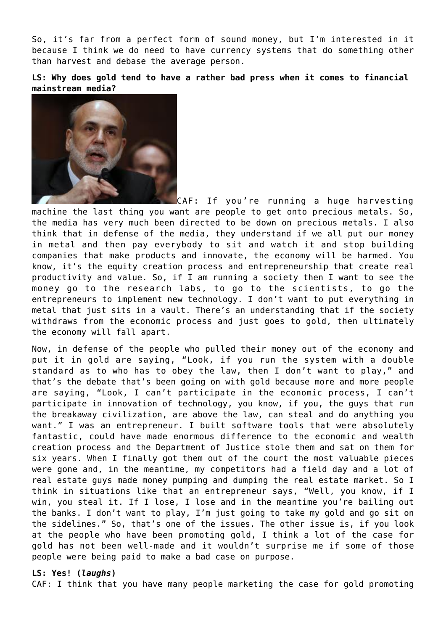So, it's far from a perfect form of sound money, but I'm interested in it because I think we do need to have currency systems that do something other than harvest and debase the average person.

#### **LS: Why does gold tend to have a rather bad press when it comes to financial mainstream media?**



CAF: If you're running a huge harvesting machine the last thing you want are people to get onto precious metals. So, the media has very much been directed to be down on precious metals. I also think that in defense of the media, they understand if we all put our money in metal and then pay everybody to sit and watch it and stop building companies that make products and innovate, the economy will be harmed. You know, it's the equity creation process and entrepreneurship that create real productivity and value. So, if I am running a society then I want to see the money go to the research labs, to go to the scientists, to go the entrepreneurs to implement new technology. I don't want to put everything in metal that just sits in a vault. There's an understanding that if the society withdraws from the economic process and just goes to gold, then ultimately the economy will fall apart.

Now, in defense of the people who pulled their money out of the economy and put it in gold are saying, "Look, if you run the system with a double standard as to who has to obey the law, then I don't want to play," and that's the debate that's been going on with gold because more and more people are saying, "Look, I can't participate in the economic process, I can't participate in innovation of technology, you know, if you, the guys that run the breakaway civilization, are above the law, can steal and do anything you want." I was an entrepreneur. I built software tools that were absolutely fantastic, could have made enormous difference to the economic and wealth creation process and the Department of Justice stole them and sat on them for six years. When I finally got them out of the court the most valuable pieces were gone and, in the meantime, my competitors had a field day and a lot of real estate guys made money pumping and dumping the real estate market. So I think in situations like that an entrepreneur says, "Well, you know, if I win, you steal it. If I lose, I lose and in the meantime you're bailing out the banks. I don't want to play, I'm just going to take my gold and go sit on the sidelines." So, that's one of the issues. The other issue is, if you look at the people who have been promoting gold, I think a lot of the case for gold has not been well-made and it wouldn't surprise me if some of those people were being paid to make a bad case on purpose.

#### **LS: Yes! (***laughs***)**

CAF: I think that you have many people marketing the case for gold promoting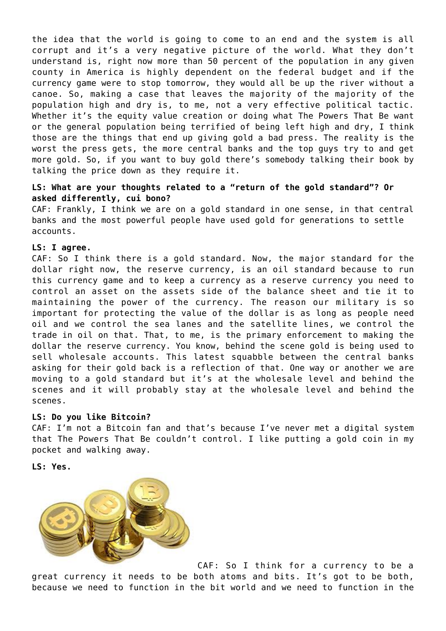the idea that the world is going to come to an end and the system is all corrupt and it's a very negative picture of the world. What they don't understand is, right now more than 50 percent of the population in any given county in America is highly dependent on the federal budget and if the currency game were to stop tomorrow, they would all be up the river without a canoe. So, making a case that leaves the majority of the majority of the population high and dry is, to me, not a very effective political tactic. Whether it's the equity value creation or doing what The Powers That Be want or the general population being terrified of being left high and dry, I think those are the things that end up giving gold a bad press. The reality is the worst the press gets, the more central banks and the top guys try to and get more gold. So, if you want to buy gold there's somebody talking their book by talking the price down as they require it.

## **LS: What are your thoughts related to a "return of the gold standard"? Or asked differently, cui bono?**

CAF: Frankly, I think we are on a gold standard in one sense, in that central banks and the most powerful people have used gold for generations to settle accounts.

#### **LS: I agree.**

CAF: So I think there is a gold standard. Now, the major standard for the dollar right now, the reserve currency, is an oil standard because to run this currency game and to keep a currency as a reserve currency you need to control an asset on the assets side of the balance sheet and tie it to maintaining the power of the currency. The reason our military is so important for protecting the value of the dollar is as long as people need oil and we control the sea lanes and the satellite lines, we control the trade in oil on that. That, to me, is the primary enforcement to making the dollar the reserve currency. You know, behind the scene gold is being used to sell wholesale accounts. This latest squabble between the central banks asking for their gold back is a reflection of that. One way or another we are moving to a gold standard but it's at the wholesale level and behind the scenes and it will probably stay at the wholesale level and behind the scenes.

#### **LS: Do you like Bitcoin?**

CAF: I'm not a Bitcoin fan and that's because I've never met a digital system that The Powers That Be couldn't control. I like putting a gold coin in my pocket and walking away.

**LS: Yes.**



CAF: So I think for a currency to be a great currency it needs to be both atoms and bits. It's got to be both, because we need to function in the bit world and we need to function in the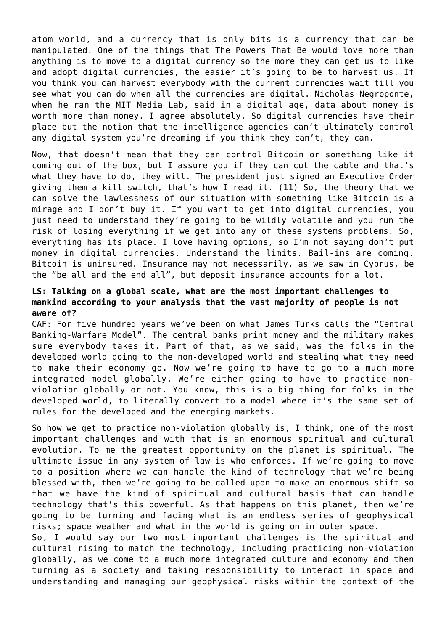atom world, and a currency that is only bits is a currency that can be manipulated. One of the things that The Powers That Be would love more than anything is to move to a digital currency so the more they can get us to like and adopt digital currencies, the easier it's going to be to harvest us. If you think you can harvest everybody with the current currencies wait till you see what you can do when all the currencies are digital. Nicholas Negroponte, when he ran the MIT Media Lab, said in a digital age, data about money is worth more than money. I agree absolutely. So digital currencies have their place but the notion that the intelligence agencies can't ultimately control any digital system you're dreaming if you think they can't, they can.

Now, that doesn't mean that they can control Bitcoin or something like it coming out of the box, but I assure you if they can cut the cable and that's what they have to do, they will. The president just signed an Executive Order giving them a kill switch, that's how I read it. (11) So, the theory that we can solve the lawlessness of our situation with something like Bitcoin is a mirage and I don't buy it. If you want to get into digital currencies, you just need to understand they're going to be wildly volatile and you run the risk of losing everything if we get into any of these systems problems. So, everything has its place. I love having options, so I'm not saying don't put money in digital currencies. Understand the limits. Bail-ins are coming. Bitcoin is uninsured. Insurance may not necessarily, as we saw in Cyprus, be the "be all and the end all", but deposit insurance accounts for a lot.

## **LS: Talking on a global scale, what are the most important challenges to mankind according to your analysis that the vast majority of people is not aware of?**

CAF: For five hundred years we've been on what James Turks calls the "Central Banking-Warfare Model". The central banks print money and the military makes sure everybody takes it. Part of that, as we said, was the folks in the developed world going to the non-developed world and stealing what they need to make their economy go. Now we're going to have to go to a much more integrated model globally. We're either going to have to practice nonviolation globally or not. You know, this is a big thing for folks in the developed world, to literally convert to a model where it's the same set of rules for the developed and the emerging markets.

So how we get to practice non-violation globally is, I think, one of the most important challenges and with that is an enormous spiritual and cultural evolution. To me the greatest opportunity on the planet is spiritual. The ultimate issue in any system of law is who enforces. If we're going to move to a position where we can handle the kind of technology that we're being blessed with, then we're going to be called upon to make an enormous shift so that we have the kind of spiritual and cultural basis that can handle technology that's this powerful. As that happens on this planet, then we're going to be turning and facing what is an endless series of geophysical risks; space weather and what in the world is going on in outer space.

So, I would say our two most important challenges is the spiritual and cultural rising to match the technology, including practicing non-violation globally, as we come to a much more integrated culture and economy and then turning as a society and taking responsibility to interact in space and understanding and managing our geophysical risks within the context of the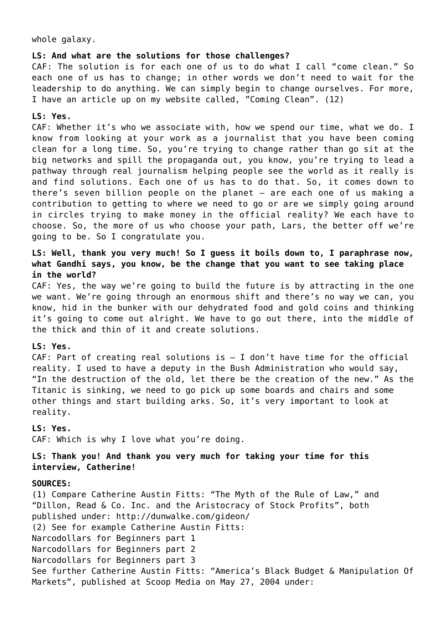whole galaxy.

#### **LS: And what are the solutions for those challenges?**

CAF: The solution is for each one of us to do what I call "come clean." So each one of us has to change; in other words we don't need to wait for the leadership to do anything. We can simply begin to change ourselves. For more, I have an article up on my website called, "Coming Clean". (12)

#### **LS: Yes.**

CAF: Whether it's who we associate with, how we spend our time, what we do. I know from looking at your work as a journalist that you have been coming clean for a long time. So, you're trying to change rather than go sit at the big networks and spill the propaganda out, you know, you're trying to lead a pathway through real journalism helping people see the world as it really is and find solutions. Each one of us has to do that. So, it comes down to there's seven billion people on the planet – are each one of us making a contribution to getting to where we need to go or are we simply going around in circles trying to make money in the official reality? We each have to choose. So, the more of us who choose your path, Lars, the better off we're going to be. So I congratulate you.

## **LS: Well, thank you very much! So I guess it boils down to, I paraphrase now, what Gandhi says, you know, be the change that you want to see taking place in the world?**

CAF: Yes, the way we're going to build the future is by attracting in the one we want. We're going through an enormous shift and there's no way we can, you know, hid in the bunker with our dehydrated food and gold coins and thinking it's going to come out alright. We have to go out there, into the middle of the thick and thin of it and create solutions.

#### **LS: Yes.**

CAF: Part of creating real solutions is  $-$  I don't have time for the official reality. I used to have a deputy in the Bush Administration who would say, "In the destruction of the old, let there be the creation of the new." As the Titanic is sinking, we need to go pick up some boards and chairs and some other things and start building arks. So, it's very important to look at reality.

#### **LS: Yes.**

CAF: Which is why I love what you're doing.

## **LS: Thank you! And thank you very much for taking your time for this interview, Catherine!**

#### **SOURCES:**

(1) Compare Catherine Austin Fitts: "The Myth of the Rule of Law," and "Dillon, Read & Co. Inc. and the Aristocracy of Stock Profits", both published under:<http://dunwalke.com/gideon/> (2) See for example Catherine Austin Fitts: [Narcodollars for Beginners part 1](http://www.drugwar.com/fittsnarco1.shtm) [Narcodollars for Beginners part 2](http://www.drugwar.com/fittsnarco2.shtm) [Narcodollars for Beginners part 3](http://www.drugwar.com/fittsnarco3.shtm) See further Catherine Austin Fitts: "America's Black Budget & Manipulation Of Markets", published at Scoop Media on May 27, 2004 under: